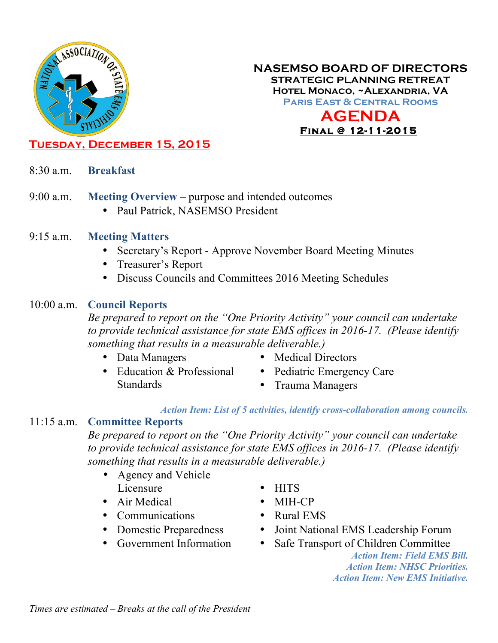

## **NASEMSO BOARD OF DIRECTORS STRATEGIC PLANNING RETREAT Hotel Monaco, ~Alexandria, VA Paris East & Central Rooms AGENDA Final @ 12-11-2015**

# **Tuesday, December 15, 2015**

- 8:30 a.m. **Breakfast**
- 9:00 a.m. **Meeting Overview** purpose and intended outcomes
	- Paul Patrick, NASEMSO President
- 9:15 a.m. **Meeting Matters**
	- Secretary's Report Approve November Board Meeting Minutes
	- Treasurer's Report
	- Discuss Councils and Committees 2016 Meeting Schedules

### 10:00 a.m. **Council Reports**

*Be prepared to report on the "One Priority Activity" your council can undertake to provide technical assistance for state EMS offices in 2016-17. (Please identify something that results in a measurable deliverable.)*

- Data Managers
- Education & Professional
- Medical Directors
- Standards
- Pediatric Emergency Care
- Trauma Managers

#### *Action Item: List of 5 activities, identify cross-collaboration among councils.*

#### 11:15 a.m. **Committee Reports**

*Be prepared to report on the "One Priority Activity" your council can undertake to provide technical assistance for state EMS offices in 2016-17. (Please identify something that results in a measurable deliverable.)*

- Agency and Vehicle Licensure
- Air Medical
- Communications
- Domestic Preparedness
- Government Information
- HITS
- MIH<sub>-C</sub>P
- Rural EMS
- Joint National EMS Leadership Forum
- Safe Transport of Children Committee

*Action Item: Field EMS Bill. Action Item: NHSC Priorities. Action Item: New EMS Initiative.*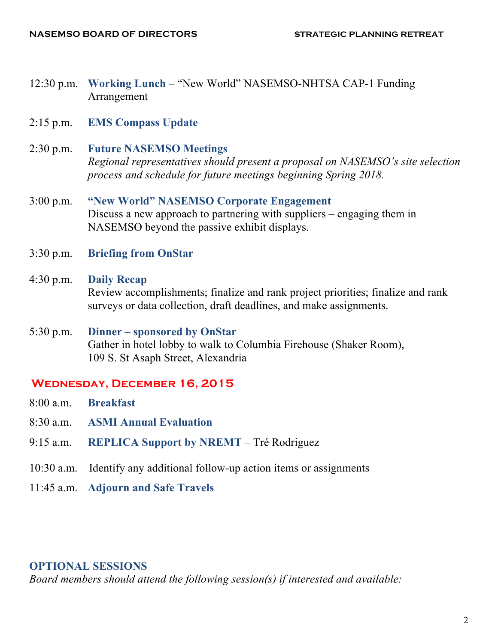- 12:30 p.m. **Working Lunch** "New World" NASEMSO-NHTSA CAP-1 Funding Arrangement
- 2:15 p.m. **EMS Compass Update**

#### 2:30 p.m. **Future NASEMSO Meetings**

*Regional representatives should present a proposal on NASEMSO's site selection process and schedule for future meetings beginning Spring 2018.*

- 3:00 p.m. **"New World" NASEMSO Corporate Engagement** Discuss a new approach to partnering with suppliers – engaging them in NASEMSO beyond the passive exhibit displays.
- 3:30 p.m. **Briefing from OnStar**
- 4:30 p.m. **Daily Recap** Review accomplishments; finalize and rank project priorities; finalize and rank surveys or data collection, draft deadlines, and make assignments.
- 5:30 p.m. **Dinner – sponsored by OnStar** Gather in hotel lobby to walk to Columbia Firehouse (Shaker Room), 109 S. St Asaph Street, Alexandria

## **Wednesday, December 16, 2015**

- 8:00 a.m. **Breakfast**
- 8:30 a.m. **ASMI Annual Evaluation**
- 9:15 a.m. **REPLICA Support by NREMT** Tré Rodriguez
- 10:30 a.m. Identify any additional follow-up action items or assignments
- 11:45 a.m. **Adjourn and Safe Travels**

#### **OPTIONAL SESSIONS**

*Board members should attend the following session(s) if interested and available:*